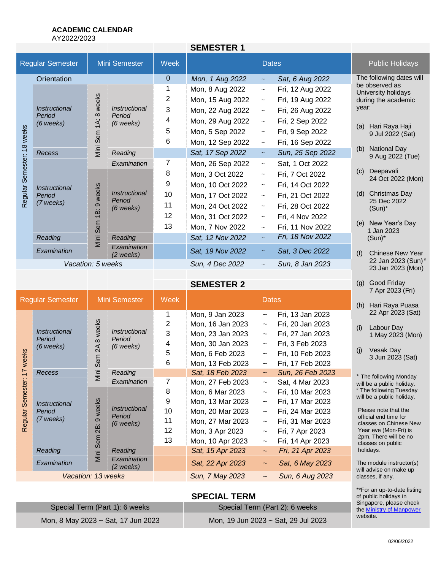## **ACADEMIC CALENDAR**

AY2022/2023

|                                   |                                                                                 |                             |                                               |                | SEMESTER 1       |                           |                        |                                                  |                                           |
|-----------------------------------|---------------------------------------------------------------------------------|-----------------------------|-----------------------------------------------|----------------|------------------|---------------------------|------------------------|--------------------------------------------------|-------------------------------------------|
| <b>Regular Semester</b>           |                                                                                 | Mini Semester               | Week                                          | <b>Dates</b>   |                  |                           | <b>Public Holidays</b> |                                                  |                                           |
| 18 weeks<br>Semester:<br>Regular: | Orientation                                                                     |                             |                                               | $\overline{0}$ | Mon, 1 Aug 2022  | $\tilde{\phantom{a}}$     | Sat, 6 Aug 2022        |                                                  | The following dates will                  |
|                                   | Instructional<br>Period<br>$(6$ weeks)                                          |                             | Instructional<br>Period<br>$(6$ weeks)        |                | Mon, 8 Aug 2022  | $\widetilde{\phantom{m}}$ | Fri, 12 Aug 2022       | be observed as<br>University holidays            |                                           |
|                                   |                                                                                 | 8 weeks<br>1A:<br>Viini Sem |                                               | 2              | Mon, 15 Aug 2022 | $\sim$                    | Fri, 19 Aug 2022       |                                                  | during the academic                       |
|                                   |                                                                                 |                             |                                               | 3              | Mon, 22 Aug 2022 | $\tilde{\phantom{a}}$     | Fri, 26 Aug 2022       | year:                                            |                                           |
|                                   |                                                                                 |                             |                                               | 4              | Mon, 29 Aug 2022 | $\tilde{}$                | Fri, 2 Sep 2022        |                                                  | Hari Raya Haji<br>(a)<br>9 Jul 2022 (Sat) |
|                                   |                                                                                 |                             |                                               | 5              | Mon, 5 Sep 2022  | $\sim$                    | Fri, 9 Sep 2022        |                                                  |                                           |
|                                   |                                                                                 |                             |                                               | 6              | Mon, 12 Sep 2022 | $\tilde{\phantom{a}}$     | Fri, 16 Sep 2022       |                                                  |                                           |
|                                   | Recess                                                                          |                             |                                               | Reading        |                  | Sat, 17 Sep 2022          | $\tilde{\phantom{a}}$  | Sun, 25 Sep 2022                                 | (b)                                       |
|                                   | 9 weeks<br><i><b>Instructional</b></i><br>Period<br>(7 weeks)<br>ίā<br>Mini Sem |                             | Examination                                   | 7              | Mon, 26 Sep 2022 | $\tilde{\phantom{a}}$     | Sat, 1 Oct 2022        |                                                  |                                           |
|                                   |                                                                                 |                             | <i>Instructional</i><br>Period<br>$(6$ weeks) | 8              | Mon, 3 Oct 2022  | $\tilde{\phantom{a}}$     | Fri, 7 Oct 2022        | (c)<br>24 Oct 2022 (Mon)<br>Christmas Day<br>(d) | Deepavali                                 |
|                                   |                                                                                 |                             |                                               | 9              | Mon, 10 Oct 2022 | $\tilde{}$                | Fri, 14 Oct 2022       |                                                  |                                           |
|                                   |                                                                                 |                             |                                               | 10             | Mon, 17 Oct 2022 | $\tilde{\phantom{a}}$     | Fri, 21 Oct 2022       |                                                  | 25 Dec 2022                               |
|                                   |                                                                                 |                             |                                               | 11             | Mon, 24 Oct 2022 | $\tilde{\phantom{a}}$     | Fri, 28 Oct 2022       |                                                  | $(Sun)^*$                                 |
|                                   |                                                                                 |                             |                                               | 12             | Mon, 31 Oct 2022 | $\tilde{\phantom{a}}$     | Fri, 4 Nov 2022        |                                                  |                                           |
|                                   |                                                                                 |                             |                                               | 13             | Mon, 7 Nov 2022  | $\tilde{}$                | Fri, 11 Nov 2022       | (e)                                              | New Year's Day<br>1 Jan 2023              |
|                                   | Reading                                                                         |                             | Reading                                       |                | Sat, 12 Nov 2022 | $\tilde{\phantom{a}}$     | Fri, 18 Nov 2022       |                                                  | $(Sun)^*$                                 |
|                                   | Examination                                                                     |                             | Examination<br>$(2$ weeks)                    |                | Sat, 19 Nov 2022 | $\tilde{\phantom{a}}$     | Sat, 3 Dec 2022        | <b>Chinese New Year</b><br>(f)                   |                                           |
|                                   | Vacation: 5 weeks                                                               |                             |                                               |                | Sun, 4 Dec 2022  | $\tilde{\phantom{a}}$     | Sun, 8 Jan 2023        |                                                  | 22 Jan 2023 (Sun)*<br>23 Jan 2023 (Mon)   |
|                                   |                                                                                 |                             |                                               |                |                  |                           |                        |                                                  |                                           |

**SEMESTER 1**

**SEMESTER 2**

|                                   |                                               |                                             |                                                              |                      | ULIVILV I LIV <i>l</i>                                                      |                                                                                               |                                                                             | 7 Apr 2023 (Fri)                                                                                                                                                                                                                                              |
|-----------------------------------|-----------------------------------------------|---------------------------------------------|--------------------------------------------------------------|----------------------|-----------------------------------------------------------------------------|-----------------------------------------------------------------------------------------------|-----------------------------------------------------------------------------|---------------------------------------------------------------------------------------------------------------------------------------------------------------------------------------------------------------------------------------------------------------|
| <b>Regular Semester</b>           |                                               | Mini Semester                               |                                                              | Week                 | <b>Dates</b>                                                                |                                                                                               | Hari Raya Puasa<br>(h)                                                      |                                                                                                                                                                                                                                                               |
| weeks<br>7<br>Semester<br>Regular | <i>Instructional</i><br>Period<br>$(6$ weeks) | weeks<br>$\infty$<br>≾<br>Sem               | <i>Instructional</i><br>Period<br>$(6$ weeks)                | 2<br>3               | Mon, 9 Jan 2023<br>Mon, 16 Jan 2023<br>Mon, 23 Jan 2023                     | $\widetilde{\phantom{m}}$<br>$\tilde{}$<br>$\tilde{}$                                         | Fri, 13 Jan 2023<br>Fri, 20 Jan 2023<br>Fri, 27 Jan 2023                    | 22 Apr 2023 (Sat)<br>Labour Day<br>(i)                                                                                                                                                                                                                        |
|                                   |                                               |                                             |                                                              | 4<br>5<br>6          | Mon, 30 Jan 2023<br>Mon, 6 Feb 2023<br>Mon, 13 Feb 2023                     | $\tilde{}$<br>$\widetilde{\phantom{m}}$<br>$\sim$                                             | Fri, 3 Feb 2023<br>Fri, 10 Feb 2023<br>Fri, 17 Feb 2023                     | 1 May 2023 (Mon)<br>Vesak Day<br>(i)<br>3 Jun 2023 (Sat)                                                                                                                                                                                                      |
|                                   | <b>Recess</b>                                 | Mini                                        | Reading                                                      |                      | Sat, 18 Feb 2023                                                            | <b>A</b>                                                                                      | Sun, 26 Feb 2023                                                            | * The following Monday<br>will be a public holiday.<br># The following Tuesday<br>will be a public holiday.<br>Please note that the<br>official end time for<br>classes on Chinese New<br>Year eve (Mon-Fri) is<br>2pm. There will be no<br>classes on public |
|                                   | <i>Instructional</i><br>Period<br>(7 weeks)   | weeks<br>$\infty$<br>$\overline{28}$<br>Sem | Examination<br><i>Instructional</i><br>Period<br>$(6$ weeks) | 7<br>8<br>9          | Mon, 27 Feb 2023<br>Mon, 6 Mar 2023<br>Mon, 13 Mar 2023                     | $\widetilde{\phantom{m}}$<br>$\tilde{}$<br>$\tilde{}$                                         | Sat, 4 Mar 2023<br>Fri, 10 Mar 2023<br>Fri, 17 Mar 2023                     |                                                                                                                                                                                                                                                               |
|                                   |                                               |                                             |                                                              | 10<br>11<br>12<br>13 | Mon, 20 Mar 2023<br>Mon, 27 Mar 2023<br>Mon, 3 Apr 2023<br>Mon, 10 Apr 2023 | $\tilde{}$<br>$\tilde{\phantom{a}}$<br>$\widetilde{\phantom{m}}$<br>$\widetilde{\phantom{m}}$ | Fri, 24 Mar 2023<br>Fri, 31 Mar 2023<br>Fri, 7 Apr 2023<br>Fri, 14 Apr 2023 |                                                                                                                                                                                                                                                               |
|                                   | Reading                                       | Mini                                        | Reading                                                      |                      | Sat, 15 Apr 2023                                                            | $\sim$                                                                                        | Fri, 21 Apr 2023                                                            | holidays.                                                                                                                                                                                                                                                     |
|                                   | Examination                                   |                                             | Examination<br>$(2 \text{ weeks})$                           |                      | Sat, 22 Apr 2023                                                            | $\tilde{\phantom{a}}$                                                                         | Sat, 6 May 2023                                                             | The module instructor(s)<br>will advise on make up                                                                                                                                                                                                            |
|                                   | Vacation: 13 weeks                            |                                             |                                                              |                      | Sun, 7 May 2023                                                             | $\widetilde{\phantom{m}}$                                                                     | Sun, 6 Aug 2023                                                             | classes, if any.                                                                                                                                                                                                                                              |

# **SPECIAL TERM**

| Special Term (Part 1): 6 weeks     | Special Term (Part 2): 6 weeks      |
|------------------------------------|-------------------------------------|
| Mon, 8 May 2023 ~ Sat, 17 Jun 2023 | Mon, 19 Jun 2023 ~ Sat, 29 Jul 2023 |

\*\*For an up-to-date listing of public holidays in Singapore, please check the **Ministry of Manpower** 

website.

(g) Good Friday